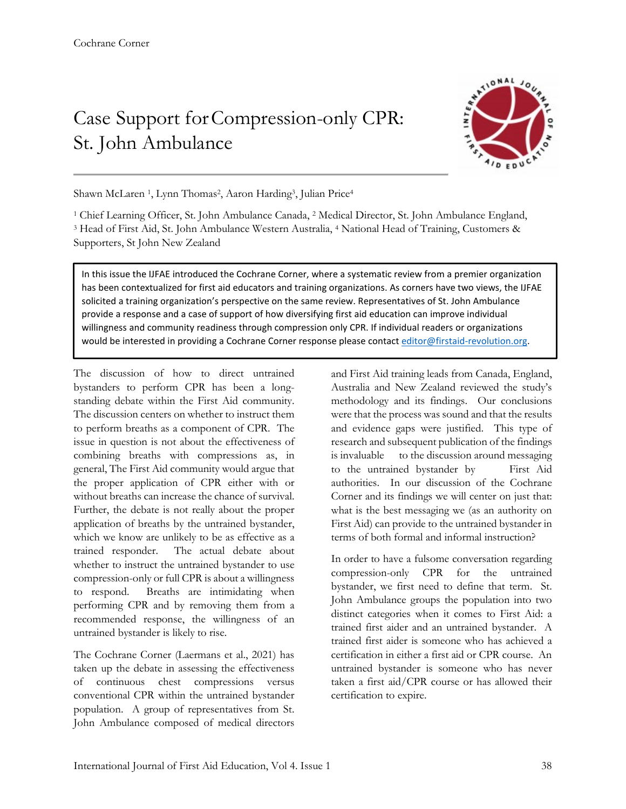## Case Support forCompression-only CPR: St. John Ambulance



Shawn McLaren <sup>1</sup>, Lynn Thomas<sup>2</sup>, Aaron Harding<sup>3</sup>, Julian Price<sup>4</sup>

<sup>1</sup> Chief Learning Officer, St. John Ambulance Canada, 2 Medical Director, St. John Ambulance England, <sup>3</sup> Head of First Aid, St. John Ambulance Western Australia, 4 National Head of Training, Customers & Supporters, St John New Zealand

In this issue the IJFAE introduced the Cochrane Corner, where a systematic review from a premier organization has been contextualized for first aid educators and training organizations. As corners have two views, the IJFAE solicited a training organization's perspective on the same review. Representatives of St. John Ambulance provide a response and a case of support of how diversifying first aid education can improve individual willingness and community readiness through compression only CPR. If individual readers or organizations would be interested in providing a Cochrane Corner response please contact editor@firstaid-revolution.org.

The discussion of how to direct untrained bystanders to perform CPR has been a longstanding debate within the First Aid community. The discussion centers on whether to instruct them to perform breaths as a component of CPR. The issue in question is not about the effectiveness of combining breaths with compressions as, in general, The First Aid community would argue that the proper application of CPR either with or without breaths can increase the chance of survival. Further, the debate is not really about the proper application of breaths by the untrained bystander, which we know are unlikely to be as effective as a trained responder. The actual debate about whether to instruct the untrained bystander to use compression-only or full CPR is about a willingness to respond. Breaths are intimidating when performing CPR and by removing them from a recommended response, the willingness of an untrained bystander is likely to rise.

The Cochrane Corner (Laermans et al., 2021) has taken up the debate in assessing the effectiveness of continuous chest compressions versus conventional CPR within the untrained bystander population. A group of representatives from St. John Ambulance composed of medical directors and First Aid training leads from Canada, England, Australia and New Zealand reviewed the study's methodology and its findings. Our conclusions were that the process was sound and that the results and evidence gaps were justified. This type of research and subsequent publication of the findings is invaluable to the discussion around messaging to the untrained bystander by First Aid authorities. In our discussion of the Cochrane Corner and its findings we will center on just that: what is the best messaging we (as an authority on First Aid) can provide to the untrained bystander in terms of both formal and informal instruction?

In order to have a fulsome conversation regarding compression-only CPR for the untrained bystander, we first need to define that term. St. John Ambulance groups the population into two distinct categories when it comes to First Aid: a trained first aider and an untrained bystander. A trained first aider is someone who has achieved a certification in either a first aid or CPR course. An untrained bystander is someone who has never taken a first aid/CPR course or has allowed their certification to expire.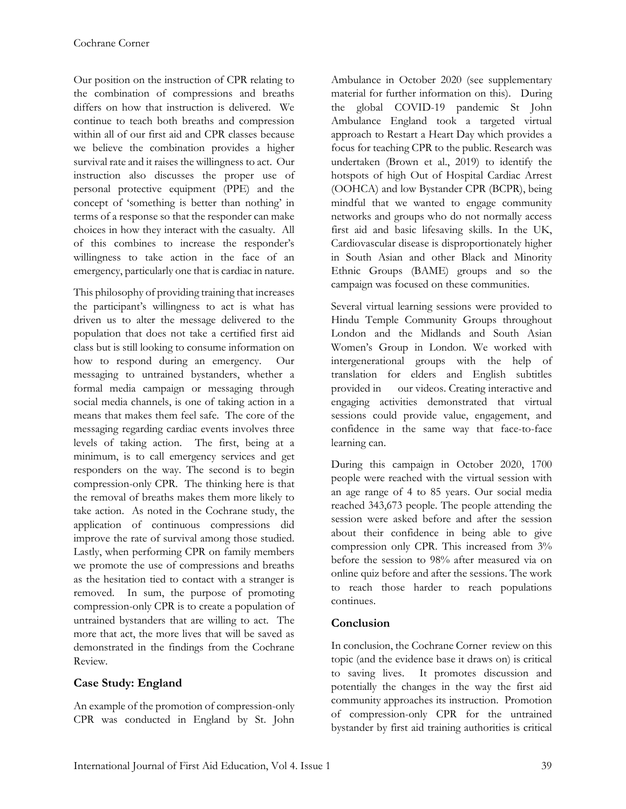Our position on the instruction of CPR relating to the combination of compressions and breaths differs on how that instruction is delivered. We continue to teach both breaths and compression within all of our first aid and CPR classes because we believe the combination provides a higher survival rate and it raises the willingness to act. Our instruction also discusses the proper use of personal protective equipment (PPE) and the concept of 'something is better than nothing' in terms of a response so that the responder can make choices in how they interact with the casualty. All of this combines to increase the responder's willingness to take action in the face of an emergency, particularly one that is cardiac in nature.

This philosophy of providing training that increases the participant's willingness to act is what has driven us to alter the message delivered to the population that does not take a certified first aid class but is still looking to consume information on how to respond during an emergency. Our messaging to untrained bystanders, whether a formal media campaign or messaging through social media channels, is one of taking action in a means that makes them feel safe. The core of the messaging regarding cardiac events involves three levels of taking action. The first, being at a minimum, is to call emergency services and get responders on the way. The second is to begin compression-only CPR. The thinking here is that the removal of breaths makes them more likely to take action. As noted in the Cochrane study, the application of continuous compressions did improve the rate of survival among those studied. Lastly, when performing CPR on family members we promote the use of compressions and breaths as the hesitation tied to contact with a stranger is removed. In sum, the purpose of promoting compression-only CPR is to create a population of untrained bystanders that are willing to act. The more that act, the more lives that will be saved as demonstrated in the findings from the Cochrane Review.

## **Case Study: England**

An example of the promotion of compression-only CPR was conducted in England by St. John

Ambulance in October 2020 (see supplementary material for further information on this). During the global COVID-19 pandemic St John Ambulance England took a targeted virtual approach to Restart a Heart Day which provides a focus for teaching CPR to the public. Research was undertaken (Brown et al., 2019) to identify the hotspots of high Out of Hospital Cardiac Arrest (OOHCA) and low Bystander CPR (BCPR), being mindful that we wanted to engage community networks and groups who do not normally access first aid and basic lifesaving skills. In the UK, Cardiovascular disease is disproportionately higher in South Asian and other Black and Minority Ethnic Groups (BAME) groups and so the campaign was focused on these communities.

Several virtual learning sessions were provided to Hindu Temple Community Groups throughout London and the Midlands and South Asian Women's Group in London. We worked with intergenerational groups with the help of translation for elders and English subtitles provided in our videos. Creating interactive and engaging activities demonstrated that virtual sessions could provide value, engagement, and confidence in the same way that face-to-face learning can.

During this campaign in October 2020, 1700 people were reached with the virtual session with an age range of 4 to 85 years. Our social media reached 343,673 people. The people attending the session were asked before and after the session about their confidence in being able to give compression only CPR. This increased from 3% before the session to 98% after measured via on online quiz before and after the sessions. The work to reach those harder to reach populations continues.

## **Conclusion**

In conclusion, the Cochrane Corner review on this topic (and the evidence base it draws on) is critical to saving lives. It promotes discussion and potentially the changes in the way the first aid community approaches its instruction. Promotion of compression-only CPR for the untrained bystander by first aid training authorities is critical